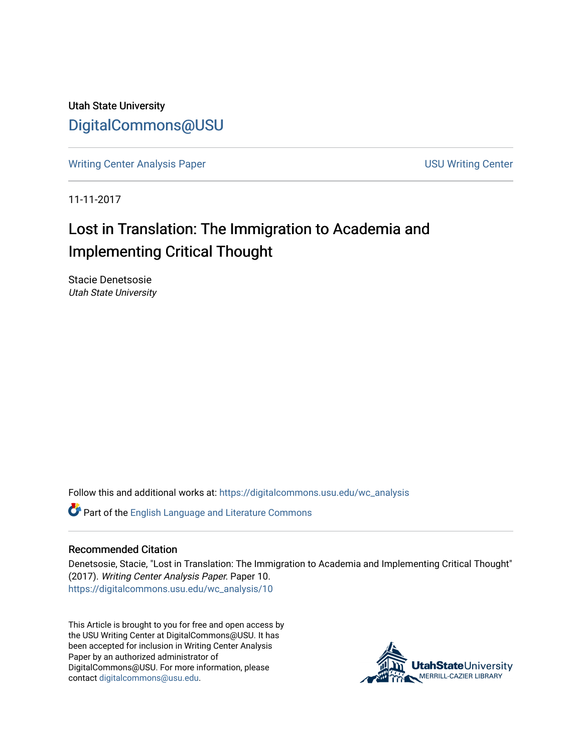Utah State University [DigitalCommons@USU](https://digitalcommons.usu.edu/)

[Writing Center Analysis Paper](https://digitalcommons.usu.edu/wc_analysis) [USU Writing Center](https://digitalcommons.usu.edu/wc) 

11-11-2017

# Lost in Translation: The Immigration to Academia and Implementing Critical Thought

Stacie Denetsosie Utah State University

Follow this and additional works at: [https://digitalcommons.usu.edu/wc\\_analysis](https://digitalcommons.usu.edu/wc_analysis?utm_source=digitalcommons.usu.edu%2Fwc_analysis%2F10&utm_medium=PDF&utm_campaign=PDFCoverPages) 

Part of the [English Language and Literature Commons](http://network.bepress.com/hgg/discipline/455?utm_source=digitalcommons.usu.edu%2Fwc_analysis%2F10&utm_medium=PDF&utm_campaign=PDFCoverPages)

#### Recommended Citation

Denetsosie, Stacie, "Lost in Translation: The Immigration to Academia and Implementing Critical Thought" (2017). Writing Center Analysis Paper. Paper 10. [https://digitalcommons.usu.edu/wc\\_analysis/10](https://digitalcommons.usu.edu/wc_analysis/10?utm_source=digitalcommons.usu.edu%2Fwc_analysis%2F10&utm_medium=PDF&utm_campaign=PDFCoverPages)

This Article is brought to you for free and open access by the USU Writing Center at DigitalCommons@USU. It has been accepted for inclusion in Writing Center Analysis Paper by an authorized administrator of DigitalCommons@USU. For more information, please contact [digitalcommons@usu.edu](mailto:digitalcommons@usu.edu).

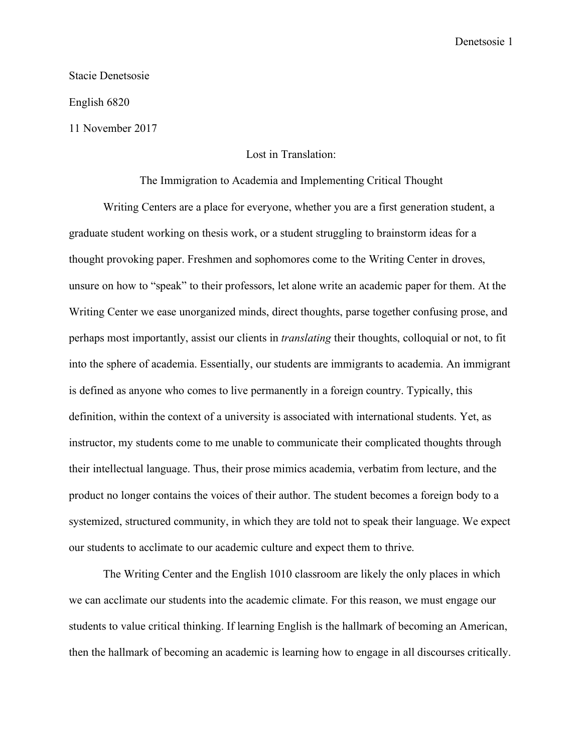## Denetsosie 1

Stacie Denetsosie

English 6820

11 November 2017

## Lost in Translation:

### The Immigration to Academia and Implementing Critical Thought

Writing Centers are a place for everyone, whether you are a first generation student, a graduate student working on thesis work, or a student struggling to brainstorm ideas for a thought provoking paper. Freshmen and sophomores come to the Writing Center in droves, unsure on how to "speak" to their professors, let alone write an academic paper for them. At the Writing Center we ease unorganized minds, direct thoughts, parse together confusing prose, and perhaps most importantly, assist our clients in *translating* their thoughts, colloquial or not, to fit into the sphere of academia. Essentially, our students are immigrants to academia. An immigrant is defined as anyone who comes to live permanently in a foreign country. Typically, this definition, within the context of a university is associated with international students. Yet, as instructor, my students come to me unable to communicate their complicated thoughts through their intellectual language. Thus, their prose mimics academia, verbatim from lecture, and the product no longer contains the voices of their author. The student becomes a foreign body to a systemized, structured community, in which they are told not to speak their language. We expect our students to acclimate to our academic culture and expect them to thrive.

The Writing Center and the English 1010 classroom are likely the only places in which we can acclimate our students into the academic climate. For this reason, we must engage our students to value critical thinking. If learning English is the hallmark of becoming an American, then the hallmark of becoming an academic is learning how to engage in all discourses critically.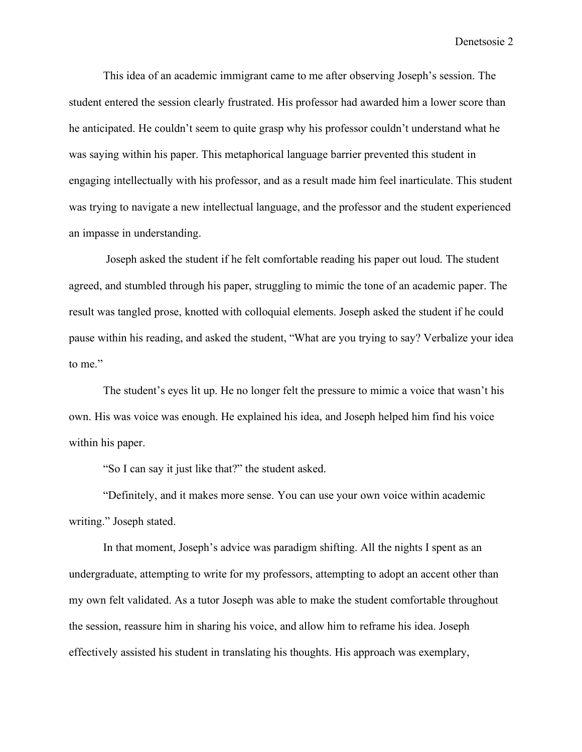Denetsosie 2

This idea of an academic immigrant came to me after observing Joseph's session. The student entered the session clearly frustrated. His professor had awarded him a lower score than he anticipated. He couldn't seem to quite grasp why his professor couldn't understand what he was saying within his paper. This metaphorical language barrier prevented this student in engaging intellectually with his professor, and as a result made him feel inarticulate. This student was trying to navigate a new intellectual language, and the professor and the student experienced an impasse in understanding.

Joseph asked the student if he felt comfortable reading his paper out loud. The student agreed, and stumbled through his paper, struggling to mimic the tone of an academic paper. The result was tangled prose, knotted with colloquial elements. Joseph asked the student if he could pause within his reading, and asked the student, "What are you trying to say? Verbalize your idea to me."

The student's eyes lit up. He no longer felt the pressure to mimic a voice that wasn't his own. His was voice was enough. He explained his idea, and Joseph helped him find his voice within his paper.

"So I can say it just like that?" the student asked.

"Definitely, and it makes more sense. You can use your own voice within academic writing." Joseph stated.

In that moment, Joseph's advice was paradigm shifting. All the nights I spent as an undergraduate, attempting to write for my professors, attempting to adopt an accent other than my own felt validated. As a tutor Joseph was able to make the student comfortable throughout the session, reassure him in sharing his voice, and allow him to reframe his idea. Joseph effectively assisted his student in translating his thoughts. His approach was exemplary,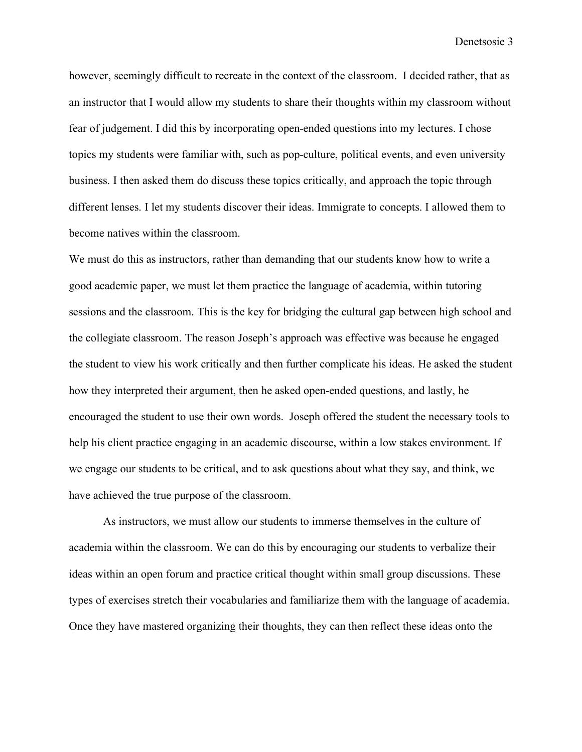however, seemingly difficult to recreate in the context of the classroom. I decided rather, that as an instructor that I would allow my students to share their thoughts within my classroom without fear of judgement. I did this by incorporating open-ended questions into my lectures. I chose topics my students were familiar with, such as pop-culture, political events, and even university business. I then asked them do discuss these topics critically, and approach the topic through different lenses. I let my students discover their ideas. Immigrate to concepts. I allowed them to become natives within the classroom.

We must do this as instructors, rather than demanding that our students know how to write a good academic paper, we must let them practice the language of academia, within tutoring sessions and the classroom. This is the key for bridging the cultural gap between high school and the collegiate classroom. The reason Joseph's approach was effective was because he engaged the student to view his work critically and then further complicate his ideas. He asked the student how they interpreted their argument, then he asked open-ended questions, and lastly, he encouraged the student to use their own words. Joseph offered the student the necessary tools to help his client practice engaging in an academic discourse, within a low stakes environment. If we engage our students to be critical, and to ask questions about what they say, and think, we have achieved the true purpose of the classroom.

As instructors, we must allow our students to immerse themselves in the culture of academia within the classroom. We can do this by encouraging our students to verbalize their ideas within an open forum and practice critical thought within small group discussions. These types of exercises stretch their vocabularies and familiarize them with the language of academia. Once they have mastered organizing their thoughts, they can then reflect these ideas onto the